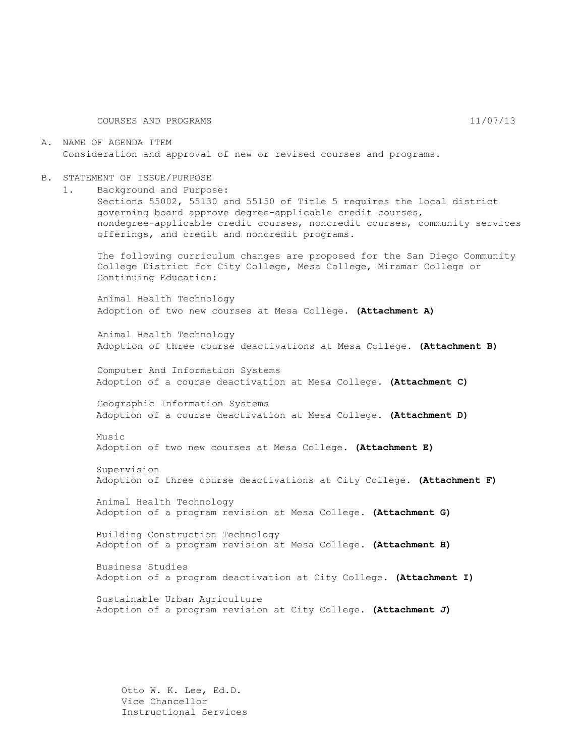COURSES AND PROGRAMS 11/07/13

A. NAME OF AGENDA ITEM Consideration and approval of new or revised courses and programs.

- B. STATEMENT OF ISSUE/PURPOSE
	- 1. Background and Purpose:

Sections 55002, 55130 and 55150 of Title 5 requires the local district governing board approve degree-applicable credit courses, nondegree-applicable credit courses, noncredit courses, community services offerings, and credit and noncredit programs.

The following curriculum changes are proposed for the San Diego Community College District for City College, Mesa College, Miramar College or Continuing Education:

Animal Health Technology Adoption of two new courses at Mesa College. **(Attachment A)**

Animal Health Technology Adoption of three course deactivations at Mesa College. **(Attachment B)**

Computer And Information Systems Adoption of a course deactivation at Mesa College. **(Attachment C)**

Geographic Information Systems Adoption of a course deactivation at Mesa College. **(Attachment D)**

Music Adoption of two new courses at Mesa College. **(Attachment E)**

Supervision Adoption of three course deactivations at City College. **(Attachment F)**

Animal Health Technology Adoption of a program revision at Mesa College. **(Attachment G)**

Building Construction Technology Adoption of a program revision at Mesa College. **(Attachment H)**

Business Studies Adoption of a program deactivation at City College. **(Attachment I)**

Sustainable Urban Agriculture Adoption of a program revision at City College. **(Attachment J)**

Otto W. K. Lee, Ed.D. Vice Chancellor Instructional Services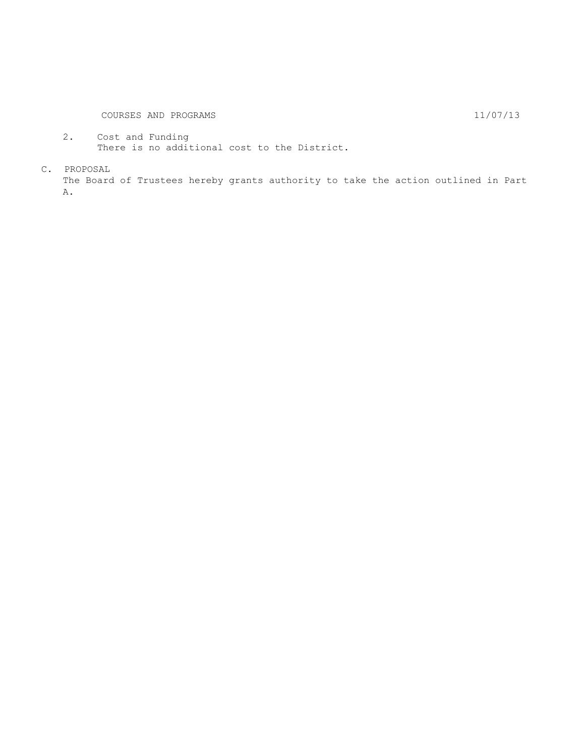2. Cost and Funding There is no additional cost to the District.

C. PROPOSAL

The Board of Trustees hereby grants authority to take the action outlined in Part A.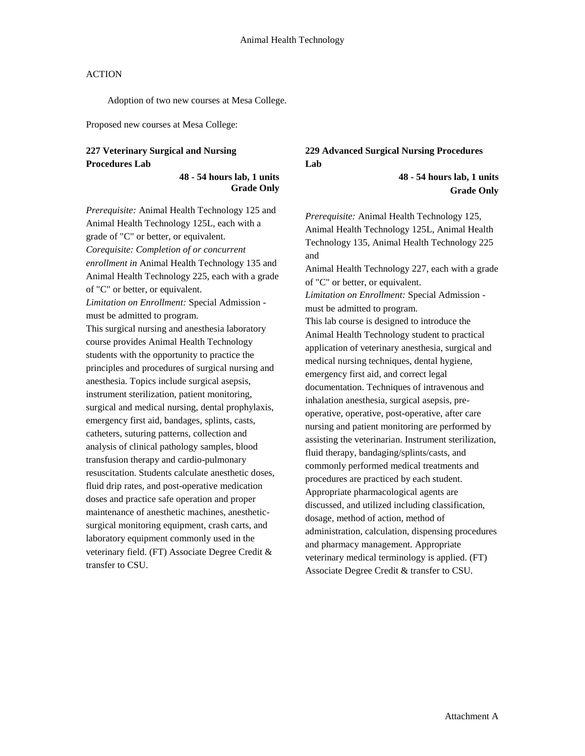Adoption of two new courses at Mesa College.

Proposed new courses at Mesa College:

## **227 Veterinary Surgical and Nursing Procedures Lab**

#### **48 - 54 hours lab, 1 units Grade Only**

*Prerequisite:* Animal Health Technology 125 and Animal Health Technology 125L, each with a grade of "C" or better, or equivalent. *Corequisite: Completion of or concurrent enrollment in* Animal Health Technology 135 and Animal Health Technology 225, each with a grade of "C" or better, or equivalent. *Limitation on Enrollment:* Special Admission must be admitted to program. This surgical nursing and anesthesia laboratory course provides Animal Health Technology students with the opportunity to practice the principles and procedures of surgical nursing and anesthesia. Topics include surgical asepsis, instrument sterilization, patient monitoring, surgical and medical nursing, dental prophylaxis, emergency first aid, bandages, splints, casts, catheters, suturing patterns, collection and analysis of clinical pathology samples, blood transfusion therapy and cardio-pulmonary resuscitation. Students calculate anesthetic doses, fluid drip rates, and post-operative medication doses and practice safe operation and proper maintenance of anesthetic machines, anestheticsurgical monitoring equipment, crash carts, and laboratory equipment commonly used in the veterinary field. (FT) Associate Degree Credit & transfer to CSU.

## **229 Advanced Surgical Nursing Procedures Lab**

**48 - 54 hours lab, 1 units Grade Only**

*Prerequisite:* Animal Health Technology 125, Animal Health Technology 125L, Animal Health Technology 135, Animal Health Technology 225 and Animal Health Technology 227, each with a grade of "C" or better, or equivalent. *Limitation on Enrollment:* Special Admission must be admitted to program. This lab course is designed to introduce the Animal Health Technology student to practical application of veterinary anesthesia, surgical and medical nursing techniques, dental hygiene, emergency first aid, and correct legal documentation. Techniques of intravenous and inhalation anesthesia, surgical asepsis, preoperative, operative, post-operative, after care nursing and patient monitoring are performed by assisting the veterinarian. Instrument sterilization, fluid therapy, bandaging/splints/casts, and commonly performed medical treatments and procedures are practiced by each student. Appropriate pharmacological agents are discussed, and utilized including classification, dosage, method of action, method of administration, calculation, dispensing procedures and pharmacy management. Appropriate veterinary medical terminology is applied. (FT) Associate Degree Credit & transfer to CSU.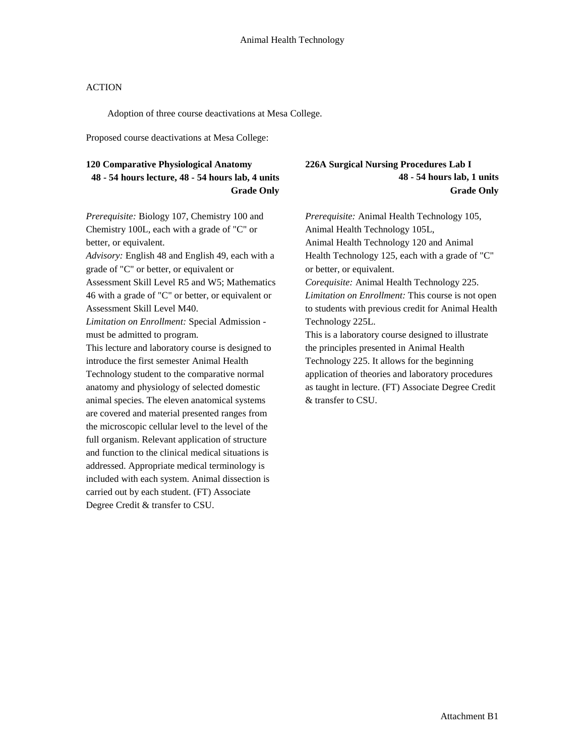Adoption of three course deactivations at Mesa College.

Proposed course deactivations at Mesa College:

## **120 Comparative Physiological Anatomy 48 - 54 hours lecture, 48 - 54 hours lab, 4 units Grade Only**

*Prerequisite:* Biology 107, Chemistry 100 and Chemistry 100L, each with a grade of "C" or better, or equivalent.

*Advisory:* English 48 and English 49, each with a grade of "C" or better, or equivalent or Assessment Skill Level R5 and W5; Mathematics 46 with a grade of "C" or better, or equivalent or Assessment Skill Level M40.

*Limitation on Enrollment:* Special Admission must be admitted to program.

This lecture and laboratory course is designed to introduce the first semester Animal Health Technology student to the comparative normal anatomy and physiology of selected domestic animal species. The eleven anatomical systems are covered and material presented ranges from the microscopic cellular level to the level of the full organism. Relevant application of structure and function to the clinical medical situations is addressed. Appropriate medical terminology is included with each system. Animal dissection is carried out by each student. (FT) Associate Degree Credit & transfer to CSU.

## **226A Surgical Nursing Procedures Lab I 48 - 54 hours lab, 1 units Grade Only**

*Prerequisite:* Animal Health Technology 105, Animal Health Technology 105L, Animal Health Technology 120 and Animal Health Technology 125, each with a grade of "C" or better, or equivalent. *Corequisite:* Animal Health Technology 225. *Limitation on Enrollment:* This course is not open to students with previous credit for Animal Health Technology 225L. This is a laboratory course designed to illustrate the principles presented in Animal Health Technology 225. It allows for the beginning application of theories and laboratory procedures as taught in lecture. (FT) Associate Degree Credit & transfer to CSU.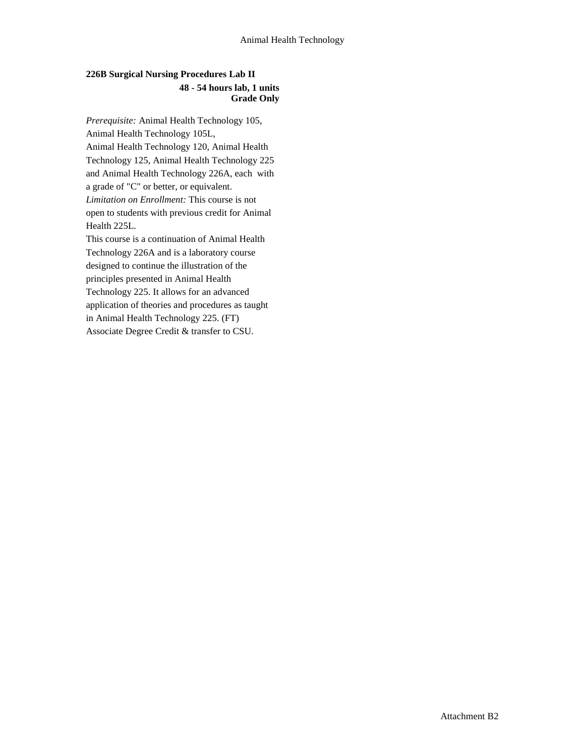## **226B Surgical Nursing Procedures Lab II 48 - 54 hours lab, 1 units Grade Only**

*Prerequisite:* Animal Health Technology 105, Animal Health Technology 105L, Animal Health Technology 120, Animal Health Technology 125, Animal Health Technology 225 and Animal Health Technology 226A, each with a grade of "C" or better, or equivalent. *Limitation on Enrollment:* This course is not open to students with previous credit for Animal Health 225L.

This course is a continuation of Animal Health Technology 226A and is a laboratory course designed to continue the illustration of the principles presented in Animal Health Technology 225. It allows for an advanced application of theories and procedures as taught in Animal Health Technology 225. (FT) Associate Degree Credit & transfer to CSU.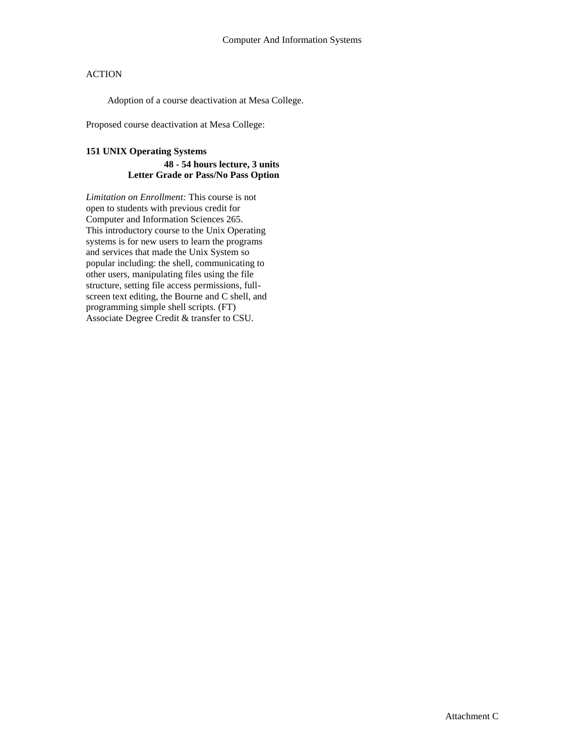Adoption of a course deactivation at Mesa College.

Proposed course deactivation at Mesa College:

## **151 UNIX Operating Systems 48 - 54 hours lecture, 3 units Letter Grade or Pass/No Pass Option**

*Limitation on Enrollment:* This course is not open to students with previous credit for Computer and Information Sciences 265. This introductory course to the Unix Operating systems is for new users to learn the programs and services that made the Unix System so popular including: the shell, communicating to other users, manipulating files using the file structure, setting file access permissions, fullscreen text editing, the Bourne and C shell, and programming simple shell scripts. (FT) Associate Degree Credit & transfer to CSU.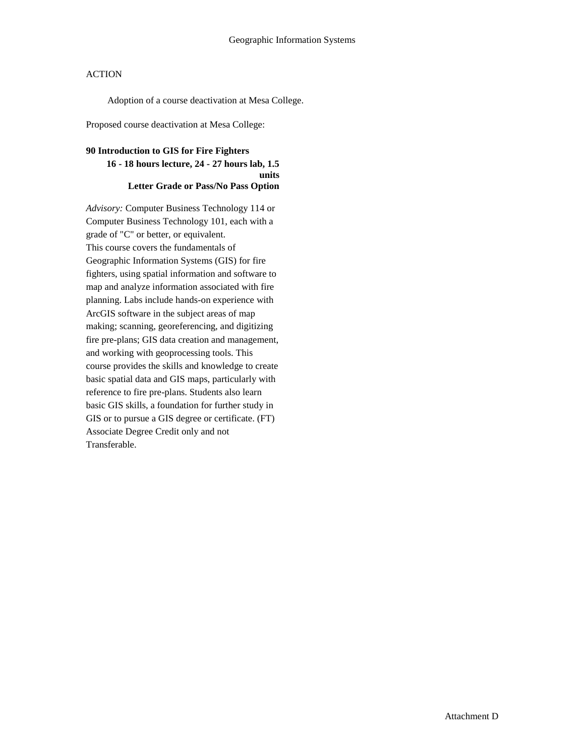Adoption of a course deactivation at Mesa College.

Proposed course deactivation at Mesa College:

## **90 Introduction to GIS for Fire Fighters 16 - 18 hours lecture, 24 - 27 hours lab, 1.5 units Letter Grade or Pass/No Pass Option**

*Advisory:* Computer Business Technology 114 or Computer Business Technology 101, each with a grade of "C" or better, or equivalent. This course covers the fundamentals of Geographic Information Systems (GIS) for fire fighters, using spatial information and software to map and analyze information associated with fire planning. Labs include hands-on experience with ArcGIS software in the subject areas of map making; scanning, georeferencing, and digitizing fire pre-plans; GIS data creation and management, and working with geoprocessing tools. This course provides the skills and knowledge to create basic spatial data and GIS maps, particularly with reference to fire pre-plans. Students also learn basic GIS skills, a foundation for further study in GIS or to pursue a GIS degree or certificate. (FT) Associate Degree Credit only and not Transferable.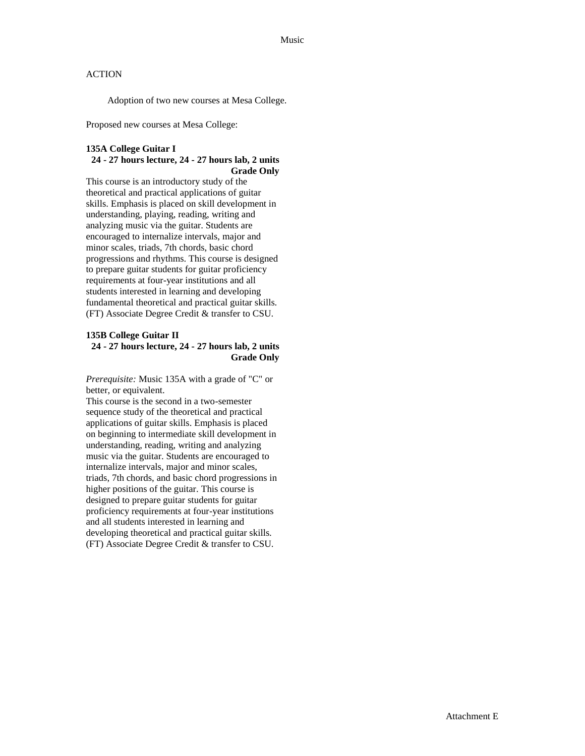Adoption of two new courses at Mesa College.

Proposed new courses at Mesa College:

#### **135A College Guitar I 24 - 27 hours lecture, 24 - 27 hours lab, 2 units Grade Only**

This course is an introductory study of the theoretical and practical applications of guitar skills. Emphasis is placed on skill development in understanding, playing, reading, writing and analyzing music via the guitar. Students are encouraged to internalize intervals, major and minor scales, triads, 7th chords, basic chord progressions and rhythms. This course is designed to prepare guitar students for guitar proficiency requirements at four-year institutions and all students interested in learning and developing fundamental theoretical and practical guitar skills. (FT) Associate Degree Credit & transfer to CSU.

#### **135B College Guitar II 24 - 27 hours lecture, 24 - 27 hours lab, 2 units Grade Only**

*Prerequisite:* Music 135A with a grade of "C" or better, or equivalent.

This course is the second in a two-semester sequence study of the theoretical and practical applications of guitar skills. Emphasis is placed on beginning to intermediate skill development in understanding, reading, writing and analyzing music via the guitar. Students are encouraged to internalize intervals, major and minor scales, triads, 7th chords, and basic chord progressions in higher positions of the guitar. This course is designed to prepare guitar students for guitar proficiency requirements at four-year institutions and all students interested in learning and developing theoretical and practical guitar skills. (FT) Associate Degree Credit & transfer to CSU.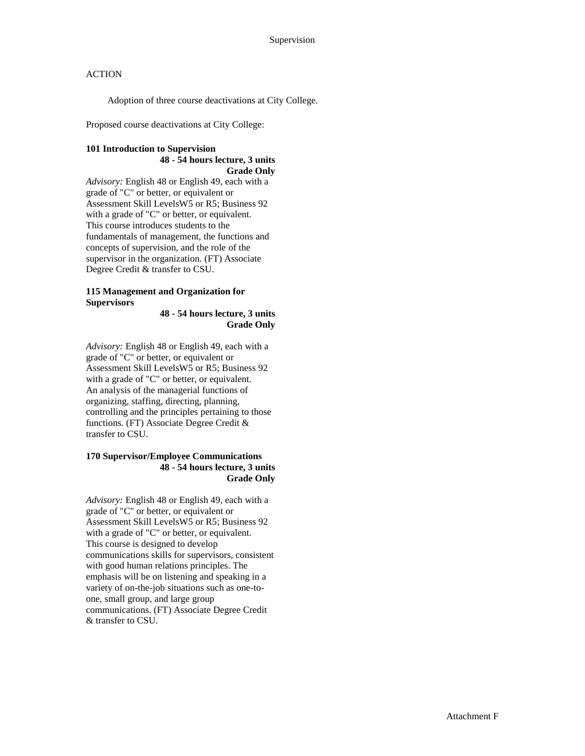Adoption of three course deactivations at City College.

Proposed course deactivations at City College:

#### **101 Introduction to Supervision 48 - 54 hours lecture, 3 units Grade Only**

*Advisory:* English 48 or English 49, each with a grade of "C" or better, or equivalent or Assessment Skill LevelsW5 or R5; Business 92 with a grade of "C" or better, or equivalent. This course introduces students to the fundamentals of management, the functions and concepts of supervision, and the role of the supervisor in the organization. (FT) Associate Degree Credit & transfer to CSU.

#### **115 Management and Organization for Supervisors**

**48 - 54 hours lecture, 3 units Grade Only**

*Advisory:* English 48 or English 49, each with a grade of "C" or better, or equivalent or Assessment Skill LevelsW5 or R5; Business 92 with a grade of "C" or better, or equivalent. An analysis of the managerial functions of organizing, staffing, directing, planning, controlling and the principles pertaining to those functions. (FT) Associate Degree Credit & transfer to CSU.

#### **170 Supervisor/Employee Communications 48 - 54 hours lecture, 3 units Grade Only**

*Advisory:* English 48 or English 49, each with a grade of "C" or better, or equivalent or Assessment Skill LevelsW5 or R5; Business 92 with a grade of "C" or better, or equivalent. This course is designed to develop communications skills for supervisors, consistent with good human relations principles. The emphasis will be on listening and speaking in a variety of on-the-job situations such as one-toone, small group, and large group communications. (FT) Associate Degree Credit & transfer to CSU.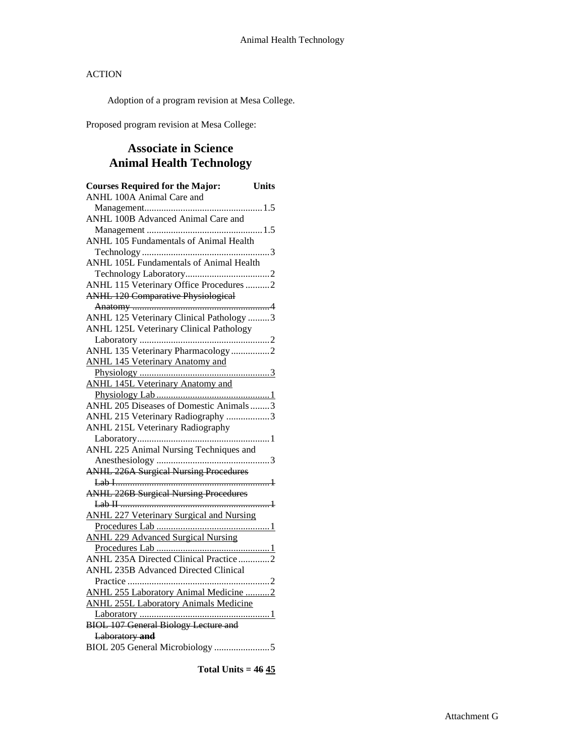Adoption of a program revision at Mesa College.

Proposed program revision at Mesa College:

# **Associate in Science Animal Health Technology**

| <b>Courses Required for the Major:</b>          | <b>Units</b> |
|-------------------------------------------------|--------------|
| ANHL 100A Animal Care and                       |              |
|                                                 |              |
| ANHL 100B Advanced Animal Care and              |              |
|                                                 |              |
| ANHL 105 Fundamentals of Animal Health          |              |
|                                                 |              |
| ANHL 105L Fundamentals of Animal Health         |              |
|                                                 |              |
| ANHL 115 Veterinary Office Procedures 2         |              |
| <b>ANHL 120 Comparative Physiological</b>       |              |
|                                                 |              |
| ANHL 125 Veterinary Clinical Pathology 3        |              |
| <b>ANHL 125L Veterinary Clinical Pathology</b>  |              |
|                                                 |              |
| ANHL 135 Veterinary Pharmacology2               |              |
| <b>ANHL 145 Veterinary Anatomy and</b>          |              |
|                                                 |              |
| <b>ANHL 145L Veterinary Anatomy and</b>         |              |
|                                                 |              |
| ANHL 205 Diseases of Domestic Animals3          |              |
| ANHL 215 Veterinary Radiography 3               |              |
| ANHL 215L Veterinary Radiography                |              |
|                                                 |              |
| ANHL 225 Animal Nursing Techniques and          |              |
|                                                 |              |
| <b>ANHL 226A Surgical Nursing Procedures</b>    |              |
|                                                 |              |
| <b>ANHL 226B Surgical Nursing Procedures</b>    |              |
|                                                 |              |
| <b>ANHL 227 Veterinary Surgical and Nursing</b> |              |
| <b>ANHL 229 Advanced Surgical Nursing</b>       |              |
|                                                 |              |
| ANHL 235A Directed Clinical Practice 2          |              |
| <b>ANHL 235B Advanced Directed Clinical</b>     |              |
|                                                 |              |
| ANHL 255 Laboratory Animal Medicine 2           |              |
| <b>ANHL 255L Laboratory Animals Medicine</b>    |              |
|                                                 |              |
| <b>BIOL 107 General Biology Lecture and</b>     |              |
| Laboratory and                                  |              |
| BIOL 205 General Microbiology 5                 |              |
|                                                 |              |

**Total Units = 46 45**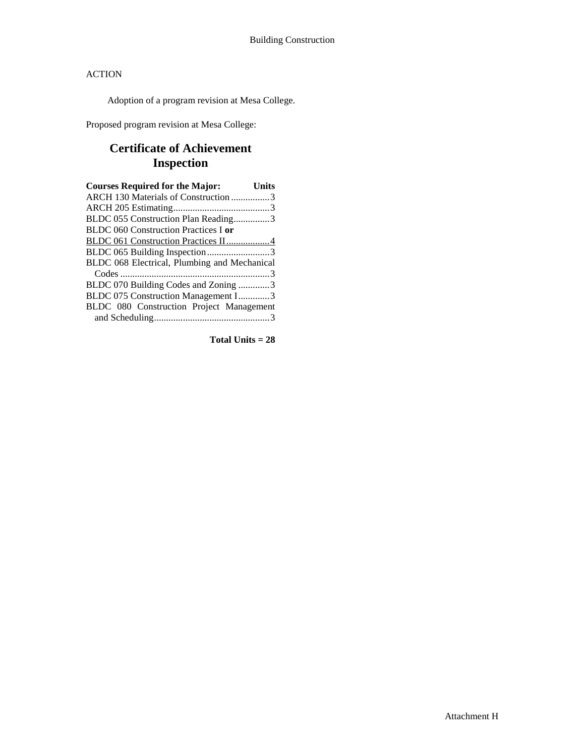Adoption of a program revision at Mesa College.

Proposed program revision at Mesa College:

# **Certificate of Achievement Inspection**

| <b>Courses Required for the Major:</b>       | <b>Units</b> |
|----------------------------------------------|--------------|
| ARCH 130 Materials of Construction 3         |              |
|                                              |              |
| BLDC 055 Construction Plan Reading3          |              |
| <b>BLDC</b> 060 Construction Practices I or  |              |
| BLDC 061 Construction Practices II4          |              |
| BLDC 065 Building Inspection3                |              |
| BLDC 068 Electrical, Plumbing and Mechanical |              |
|                                              |              |
| BLDC 070 Building Codes and Zoning 3         |              |
| BLDC 075 Construction Management I3          |              |
| BLDC 080 Construction Project Management     |              |
|                                              |              |

**Total Units = 28**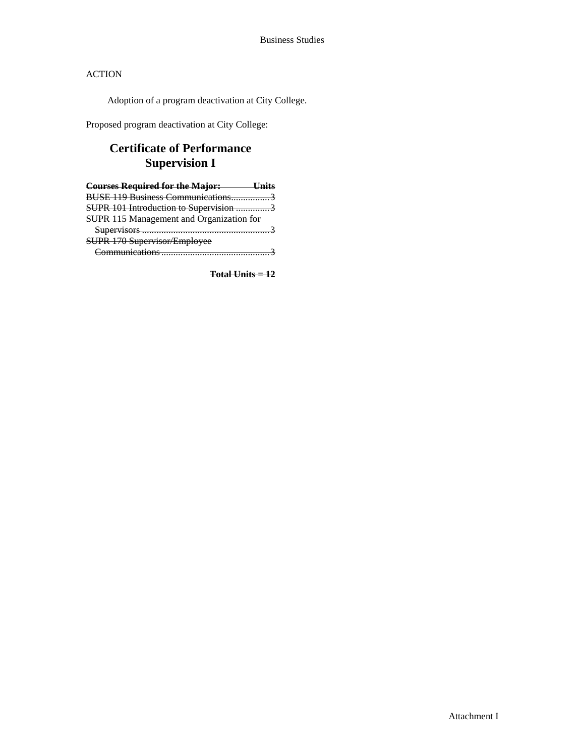Adoption of a program deactivation at City College.

Proposed program deactivation at City College:

# **Certificate of Performance Supervision I**

| <b>Courses Required for the Major:</b>          |  |
|-------------------------------------------------|--|
| BUSE 119 Business Communications                |  |
| SUPR 101 Introduction to Supervision 3          |  |
| <b>SUPR 115 Management and Organization for</b> |  |
| $S$ upervisors                                  |  |
| SUPR 170 Supervisor/Employee                    |  |
| amunications                                    |  |

**Total Units = 12**